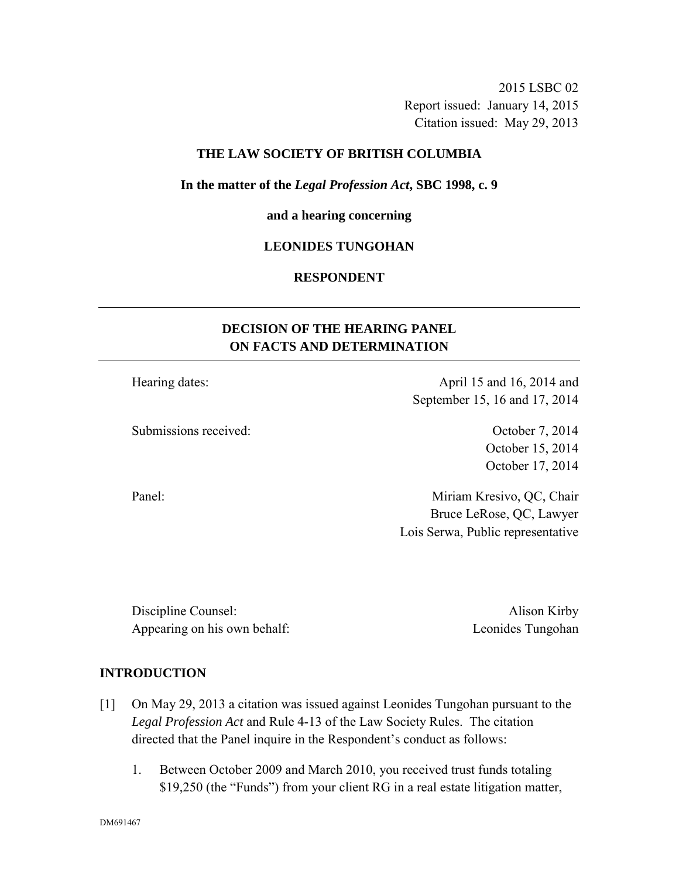2015 LSBC 02 Report issued: January 14, 2015 Citation issued: May 29, 2013

### **THE LAW SOCIETY OF BRITISH COLUMBIA**

#### **In the matter of the** *Legal Profession Act***, SBC 1998, c. 9**

#### **and a hearing concerning**

#### **LEONIDES TUNGOHAN**

### **RESPONDENT**

# **DECISION OF THE HEARING PANEL ON FACTS AND DETERMINATION**

Hearing dates: April 15 and 16, 2014 and

Submissions received: October 7, 2014

October 15, 2014 October 17, 2014

Panel: Miriam Kresivo, QC, Chair Bruce LeRose, QC, Lawyer Lois Serwa, Public representative

September 15, 16 and 17, 2014

Discipline Counsel: Alison Kirby Appearing on his own behalf: Leonides Tungohan

## **INTRODUCTION**

- [1] On May 29, 2013 a citation was issued against Leonides Tungohan pursuant to the *Legal Profession Act* and Rule 4-13 of the Law Society Rules. The citation directed that the Panel inquire in the Respondent's conduct as follows:
	- 1. Between October 2009 and March 2010, you received trust funds totaling \$19,250 (the "Funds") from your client RG in a real estate litigation matter,

DM691467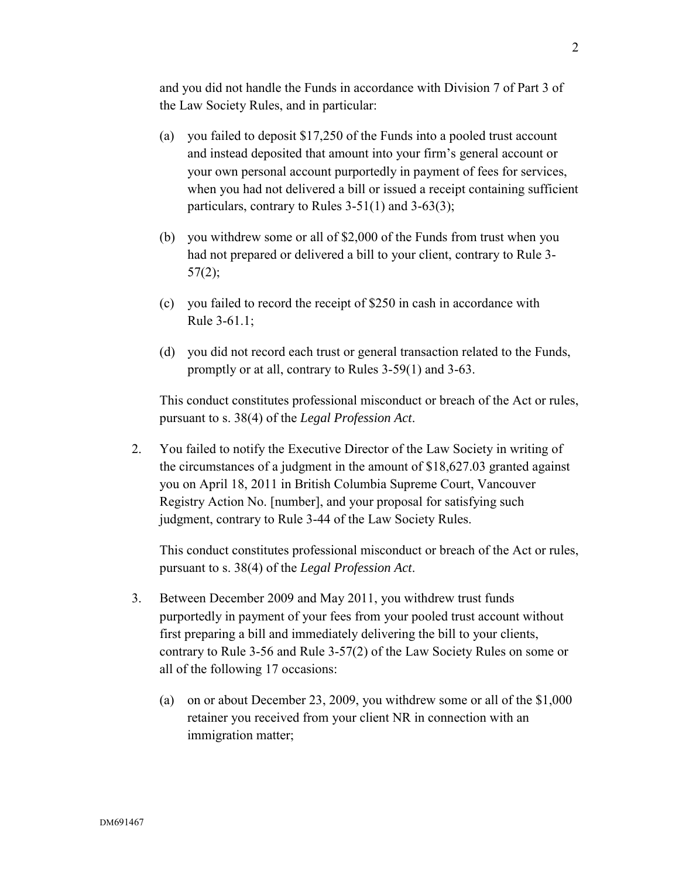and you did not handle the Funds in accordance with Division 7 of Part 3 of the Law Society Rules, and in particular:

- (a) you failed to deposit \$17,250 of the Funds into a pooled trust account and instead deposited that amount into your firm's general account or your own personal account purportedly in payment of fees for services, when you had not delivered a bill or issued a receipt containing sufficient particulars, contrary to Rules  $3-51(1)$  and  $3-63(3)$ ;
- (b) you withdrew some or all of \$2,000 of the Funds from trust when you had not prepared or delivered a bill to your client, contrary to Rule 3-  $57(2);$
- (c) you failed to record the receipt of \$250 in cash in accordance with Rule 3-61.1;
- (d) you did not record each trust or general transaction related to the Funds, promptly or at all, contrary to Rules 3-59(1) and 3-63.

This conduct constitutes professional misconduct or breach of the Act or rules, pursuant to s. 38(4) of the *Legal Profession Act*.

2. You failed to notify the Executive Director of the Law Society in writing of the circumstances of a judgment in the amount of \$18,627.03 granted against you on April 18, 2011 in British Columbia Supreme Court, Vancouver Registry Action No. [number], and your proposal for satisfying such judgment, contrary to Rule 3-44 of the Law Society Rules.

This conduct constitutes professional misconduct or breach of the Act or rules, pursuant to s. 38(4) of the *Legal Profession Act*.

- 3. Between December 2009 and May 2011, you withdrew trust funds purportedly in payment of your fees from your pooled trust account without first preparing a bill and immediately delivering the bill to your clients, contrary to Rule 3-56 and Rule 3-57(2) of the Law Society Rules on some or all of the following 17 occasions:
	- (a) on or about December 23, 2009, you withdrew some or all of the \$1,000 retainer you received from your client NR in connection with an immigration matter;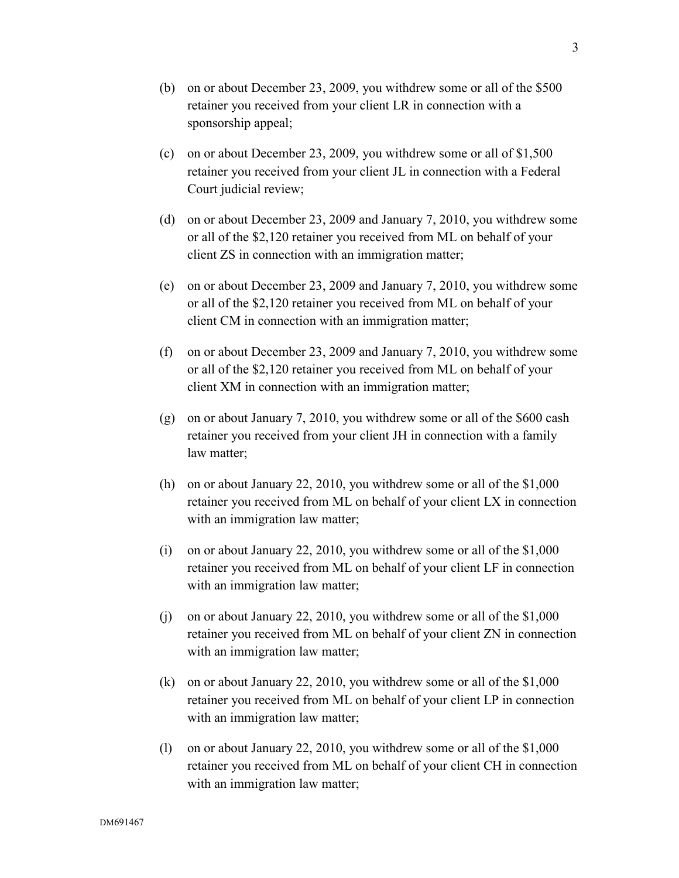- (b) on or about December 23, 2009, you withdrew some or all of the \$500 retainer you received from your client LR in connection with a sponsorship appeal;
- (c) on or about December 23, 2009, you withdrew some or all of \$1,500 retainer you received from your client JL in connection with a Federal Court judicial review;
- (d) on or about December 23, 2009 and January 7, 2010, you withdrew some or all of the \$2,120 retainer you received from ML on behalf of your client ZS in connection with an immigration matter;
- (e) on or about December 23, 2009 and January 7, 2010, you withdrew some or all of the \$2,120 retainer you received from ML on behalf of your client CM in connection with an immigration matter;
- (f) on or about December 23, 2009 and January 7, 2010, you withdrew some or all of the \$2,120 retainer you received from ML on behalf of your client XM in connection with an immigration matter;
- (g) on or about January 7, 2010, you withdrew some or all of the \$600 cash retainer you received from your client JH in connection with a family law matter;
- (h) on or about January 22, 2010, you withdrew some or all of the \$1,000 retainer you received from ML on behalf of your client LX in connection with an immigration law matter;
- (i) on or about January 22, 2010, you withdrew some or all of the \$1,000 retainer you received from ML on behalf of your client LF in connection with an immigration law matter;
- (j) on or about January 22, 2010, you withdrew some or all of the \$1,000 retainer you received from ML on behalf of your client ZN in connection with an immigration law matter;
- (k) on or about January 22, 2010, you withdrew some or all of the \$1,000 retainer you received from ML on behalf of your client LP in connection with an immigration law matter;
- (l) on or about January 22, 2010, you withdrew some or all of the \$1,000 retainer you received from ML on behalf of your client CH in connection with an immigration law matter;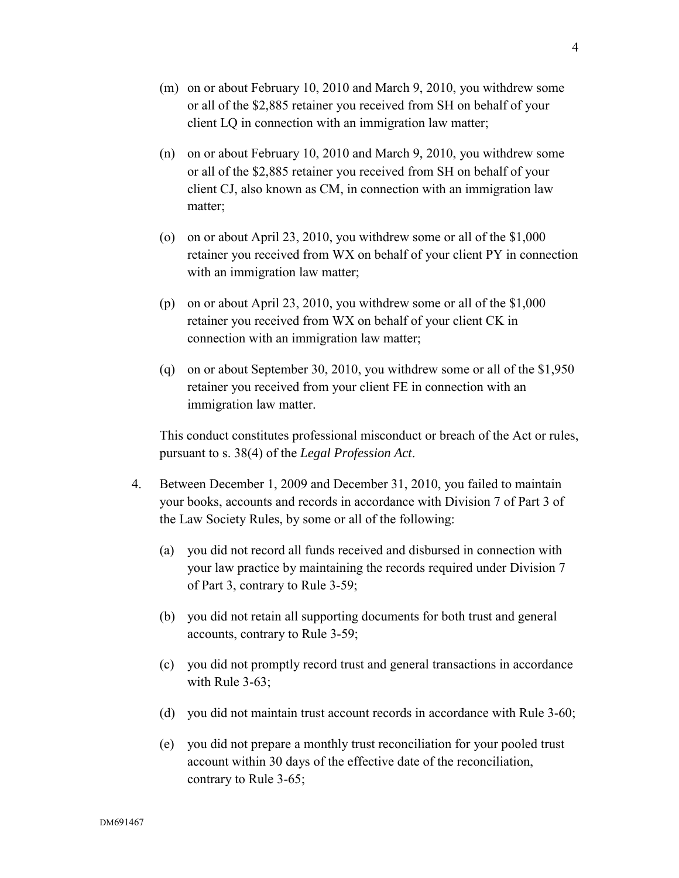- (m) on or about February 10, 2010 and March 9, 2010, you withdrew some or all of the \$2,885 retainer you received from SH on behalf of your client LQ in connection with an immigration law matter;
- (n) on or about February 10, 2010 and March 9, 2010, you withdrew some or all of the \$2,885 retainer you received from SH on behalf of your client CJ, also known as CM, in connection with an immigration law matter;
- (o) on or about April 23, 2010, you withdrew some or all of the \$1,000 retainer you received from WX on behalf of your client PY in connection with an immigration law matter;
- (p) on or about April 23, 2010, you withdrew some or all of the \$1,000 retainer you received from WX on behalf of your client CK in connection with an immigration law matter;
- (q) on or about September 30, 2010, you withdrew some or all of the \$1,950 retainer you received from your client FE in connection with an immigration law matter.

This conduct constitutes professional misconduct or breach of the Act or rules, pursuant to s. 38(4) of the *Legal Profession Act*.

- 4. Between December 1, 2009 and December 31, 2010, you failed to maintain your books, accounts and records in accordance with Division 7 of Part 3 of the Law Society Rules, by some or all of the following:
	- (a) you did not record all funds received and disbursed in connection with your law practice by maintaining the records required under Division 7 of Part 3, contrary to Rule 3-59;
	- (b) you did not retain all supporting documents for both trust and general accounts, contrary to Rule 3-59;
	- (c) you did not promptly record trust and general transactions in accordance with Rule 3-63;
	- (d) you did not maintain trust account records in accordance with Rule 3-60;
	- (e) you did not prepare a monthly trust reconciliation for your pooled trust account within 30 days of the effective date of the reconciliation, contrary to Rule 3-65;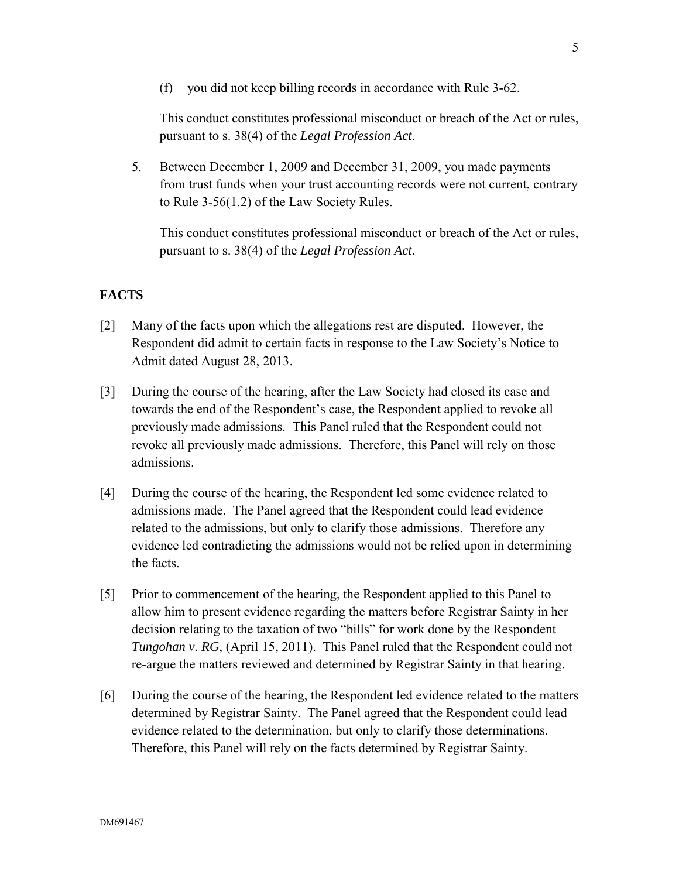(f) you did not keep billing records in accordance with Rule 3-62.

This conduct constitutes professional misconduct or breach of the Act or rules, pursuant to s. 38(4) of the *Legal Profession Act*.

5. Between December 1, 2009 and December 31, 2009, you made payments from trust funds when your trust accounting records were not current, contrary to Rule 3-56(1.2) of the Law Society Rules.

This conduct constitutes professional misconduct or breach of the Act or rules, pursuant to s. 38(4) of the *Legal Profession Act*.

## **FACTS**

- [2] Many of the facts upon which the allegations rest are disputed. However, the Respondent did admit to certain facts in response to the Law Society's Notice to Admit dated August 28, 2013.
- [3] During the course of the hearing, after the Law Society had closed its case and towards the end of the Respondent's case, the Respondent applied to revoke all previously made admissions. This Panel ruled that the Respondent could not revoke all previously made admissions. Therefore, this Panel will rely on those admissions.
- [4] During the course of the hearing, the Respondent led some evidence related to admissions made. The Panel agreed that the Respondent could lead evidence related to the admissions, but only to clarify those admissions. Therefore any evidence led contradicting the admissions would not be relied upon in determining the facts.
- [5] Prior to commencement of the hearing, the Respondent applied to this Panel to allow him to present evidence regarding the matters before Registrar Sainty in her decision relating to the taxation of two "bills" for work done by the Respondent *Tungohan v. RG*, (April 15, 2011). This Panel ruled that the Respondent could not re-argue the matters reviewed and determined by Registrar Sainty in that hearing.
- [6] During the course of the hearing, the Respondent led evidence related to the matters determined by Registrar Sainty. The Panel agreed that the Respondent could lead evidence related to the determination, but only to clarify those determinations. Therefore, this Panel will rely on the facts determined by Registrar Sainty.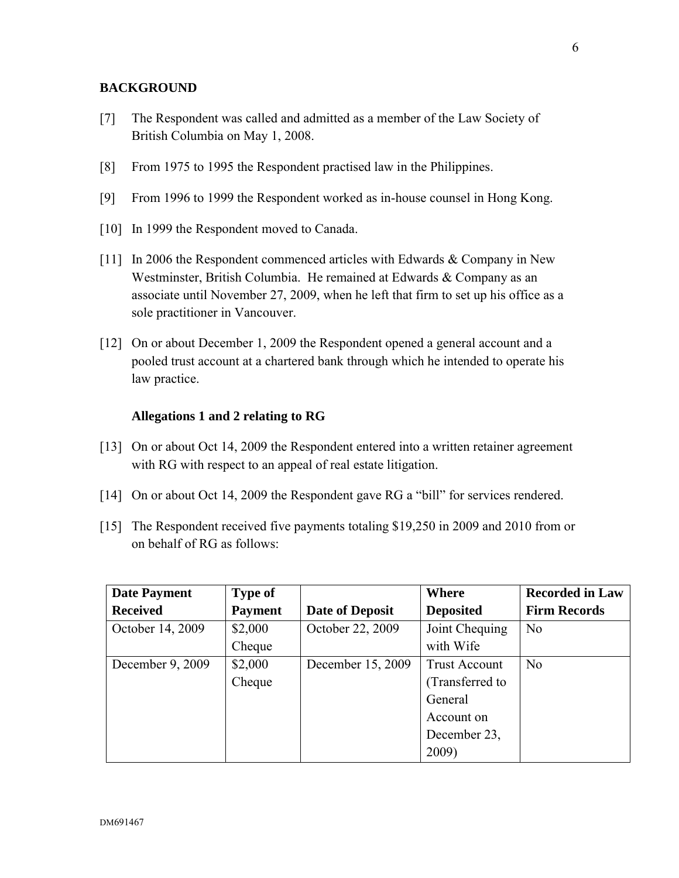## **BACKGROUND**

- [7] The Respondent was called and admitted as a member of the Law Society of British Columbia on May 1, 2008.
- [8] From 1975 to 1995 the Respondent practised law in the Philippines.
- [9] From 1996 to 1999 the Respondent worked as in-house counsel in Hong Kong.
- [10] In 1999 the Respondent moved to Canada.
- [11] In 2006 the Respondent commenced articles with Edwards & Company in New Westminster, British Columbia. He remained at Edwards & Company as an associate until November 27, 2009, when he left that firm to set up his office as a sole practitioner in Vancouver.
- [12] On or about December 1, 2009 the Respondent opened a general account and a pooled trust account at a chartered bank through which he intended to operate his law practice.

## **Allegations 1 and 2 relating to RG**

- [13] On or about Oct 14, 2009 the Respondent entered into a written retainer agreement with RG with respect to an appeal of real estate litigation.
- [14] On or about Oct 14, 2009 the Respondent gave RG a "bill" for services rendered.
- [15] The Respondent received five payments totaling \$19,250 in 2009 and 2010 from or on behalf of RG as follows:

| <b>Date Payment</b> | <b>Type of</b> |                   | Where                | <b>Recorded in Law</b> |
|---------------------|----------------|-------------------|----------------------|------------------------|
| <b>Received</b>     | <b>Payment</b> | Date of Deposit   | <b>Deposited</b>     | <b>Firm Records</b>    |
| October 14, 2009    | \$2,000        | October 22, 2009  | Joint Chequing       | N <sub>0</sub>         |
|                     | Cheque         |                   | with Wife            |                        |
| December 9, 2009    | \$2,000        | December 15, 2009 | <b>Trust Account</b> | N <sub>0</sub>         |
|                     | Cheque         |                   | (Transferred to      |                        |
|                     |                |                   | General              |                        |
|                     |                |                   | Account on           |                        |
|                     |                |                   | December 23,         |                        |
|                     |                |                   | 2009)                |                        |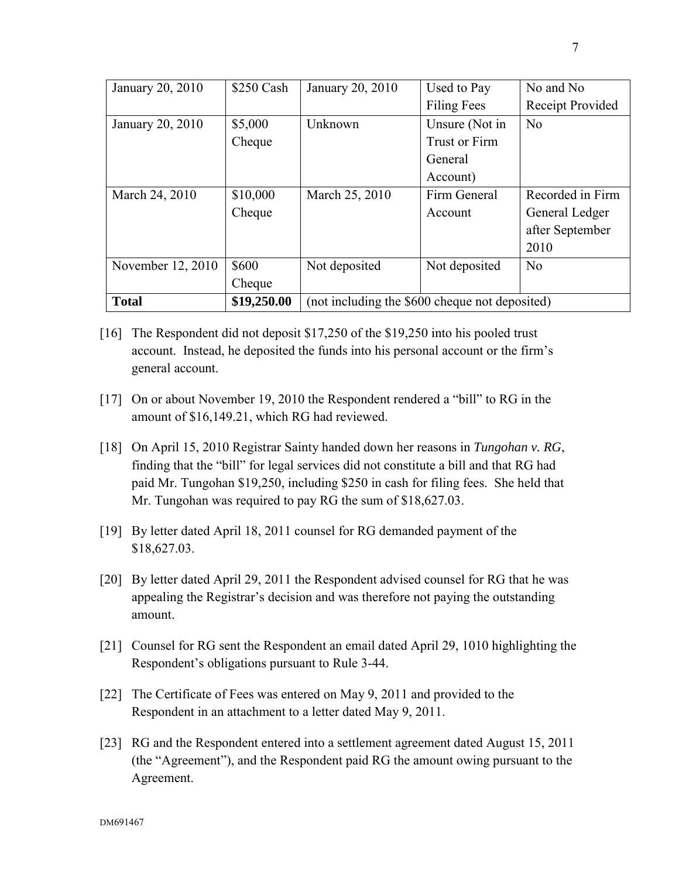| January 20, 2010  | \$250 Cash  | January 20, 2010                               | Used to Pay          | No and No        |
|-------------------|-------------|------------------------------------------------|----------------------|------------------|
|                   |             |                                                | <b>Filing Fees</b>   | Receipt Provided |
| January 20, 2010  | \$5,000     | Unknown                                        | Unsure (Not in       | N <sub>0</sub>   |
|                   | Cheque      |                                                | <b>Trust or Firm</b> |                  |
|                   |             |                                                | General              |                  |
|                   |             |                                                | Account)             |                  |
| March 24, 2010    | \$10,000    | March 25, 2010                                 | Firm General         | Recorded in Firm |
|                   | Cheque      |                                                | Account              | General Ledger   |
|                   |             |                                                |                      | after September  |
|                   |             |                                                |                      | 2010             |
| November 12, 2010 | \$600       | Not deposited                                  | Not deposited        | N <sub>0</sub>   |
|                   | Cheque      |                                                |                      |                  |
| <b>Total</b>      | \$19,250.00 | (not including the \$600 cheque not deposited) |                      |                  |

- [16] The Respondent did not deposit \$17,250 of the \$19,250 into his pooled trust account. Instead, he deposited the funds into his personal account or the firm's general account.
- [17] On or about November 19, 2010 the Respondent rendered a "bill" to RG in the amount of \$16,149.21, which RG had reviewed.
- [18] On April 15, 2010 Registrar Sainty handed down her reasons in *Tungohan v. RG*, finding that the "bill" for legal services did not constitute a bill and that RG had paid Mr. Tungohan \$19,250, including \$250 in cash for filing fees. She held that Mr. Tungohan was required to pay RG the sum of \$18,627.03.
- [19] By letter dated April 18, 2011 counsel for RG demanded payment of the \$18,627.03.
- [20] By letter dated April 29, 2011 the Respondent advised counsel for RG that he was appealing the Registrar's decision and was therefore not paying the outstanding amount.
- [21] Counsel for RG sent the Respondent an email dated April 29, 1010 highlighting the Respondent's obligations pursuant to Rule 3-44.
- [22] The Certificate of Fees was entered on May 9, 2011 and provided to the Respondent in an attachment to a letter dated May 9, 2011.
- [23] RG and the Respondent entered into a settlement agreement dated August 15, 2011 (the "Agreement"), and the Respondent paid RG the amount owing pursuant to the Agreement.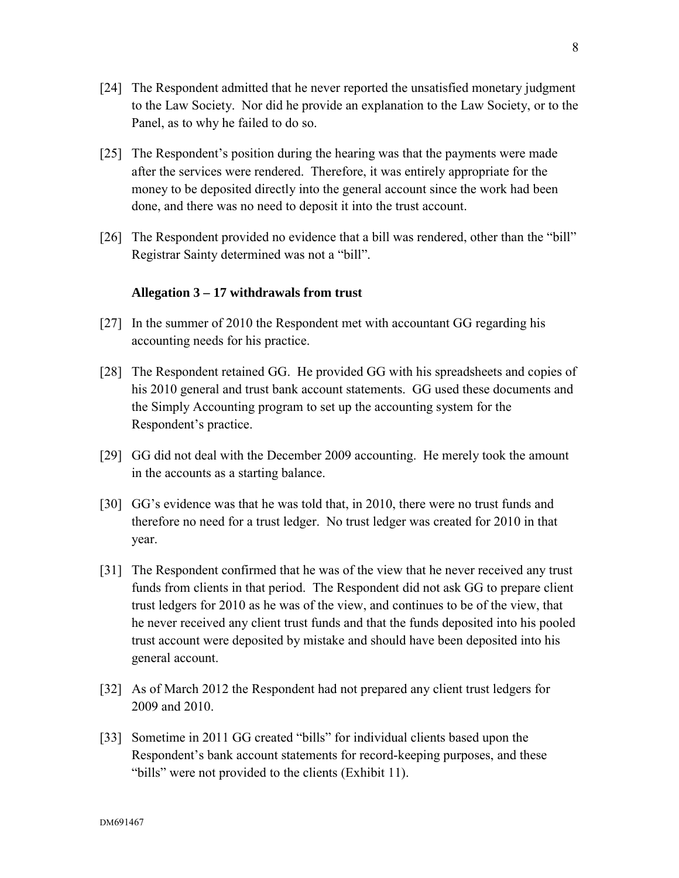- [24] The Respondent admitted that he never reported the unsatisfied monetary judgment to the Law Society. Nor did he provide an explanation to the Law Society, or to the Panel, as to why he failed to do so.
- [25] The Respondent's position during the hearing was that the payments were made after the services were rendered. Therefore, it was entirely appropriate for the money to be deposited directly into the general account since the work had been done, and there was no need to deposit it into the trust account.
- [26] The Respondent provided no evidence that a bill was rendered, other than the "bill" Registrar Sainty determined was not a "bill".

## **Allegation 3 – 17 withdrawals from trust**

- [27] In the summer of 2010 the Respondent met with accountant GG regarding his accounting needs for his practice.
- [28] The Respondent retained GG. He provided GG with his spreadsheets and copies of his 2010 general and trust bank account statements. GG used these documents and the Simply Accounting program to set up the accounting system for the Respondent's practice.
- [29] GG did not deal with the December 2009 accounting. He merely took the amount in the accounts as a starting balance.
- [30] GG's evidence was that he was told that, in 2010, there were no trust funds and therefore no need for a trust ledger. No trust ledger was created for 2010 in that year.
- [31] The Respondent confirmed that he was of the view that he never received any trust funds from clients in that period. The Respondent did not ask GG to prepare client trust ledgers for 2010 as he was of the view, and continues to be of the view, that he never received any client trust funds and that the funds deposited into his pooled trust account were deposited by mistake and should have been deposited into his general account.
- [32] As of March 2012 the Respondent had not prepared any client trust ledgers for 2009 and 2010.
- [33] Sometime in 2011 GG created "bills" for individual clients based upon the Respondent's bank account statements for record-keeping purposes, and these "bills" were not provided to the clients (Exhibit 11).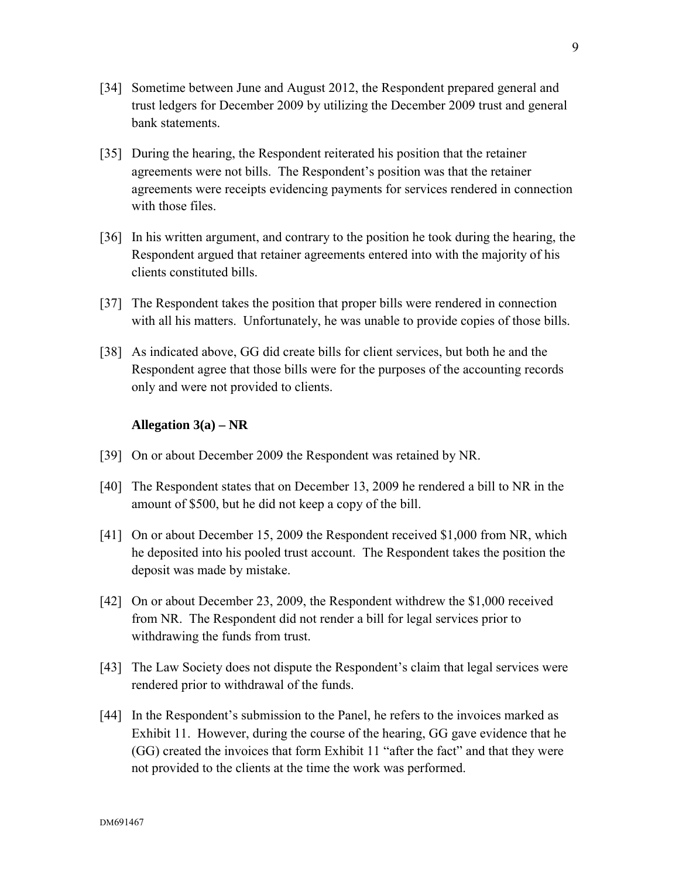- [34] Sometime between June and August 2012, the Respondent prepared general and trust ledgers for December 2009 by utilizing the December 2009 trust and general bank statements.
- [35] During the hearing, the Respondent reiterated his position that the retainer agreements were not bills. The Respondent's position was that the retainer agreements were receipts evidencing payments for services rendered in connection with those files.
- [36] In his written argument, and contrary to the position he took during the hearing, the Respondent argued that retainer agreements entered into with the majority of his clients constituted bills.
- [37] The Respondent takes the position that proper bills were rendered in connection with all his matters. Unfortunately, he was unable to provide copies of those bills.
- [38] As indicated above, GG did create bills for client services, but both he and the Respondent agree that those bills were for the purposes of the accounting records only and were not provided to clients.

### **Allegation 3(a) – NR**

- [39] On or about December 2009 the Respondent was retained by NR.
- [40] The Respondent states that on December 13, 2009 he rendered a bill to NR in the amount of \$500, but he did not keep a copy of the bill.
- [41] On or about December 15, 2009 the Respondent received \$1,000 from NR, which he deposited into his pooled trust account. The Respondent takes the position the deposit was made by mistake.
- [42] On or about December 23, 2009, the Respondent withdrew the \$1,000 received from NR. The Respondent did not render a bill for legal services prior to withdrawing the funds from trust.
- [43] The Law Society does not dispute the Respondent's claim that legal services were rendered prior to withdrawal of the funds.
- [44] In the Respondent's submission to the Panel, he refers to the invoices marked as Exhibit 11. However, during the course of the hearing, GG gave evidence that he (GG) created the invoices that form Exhibit 11 "after the fact" and that they were not provided to the clients at the time the work was performed.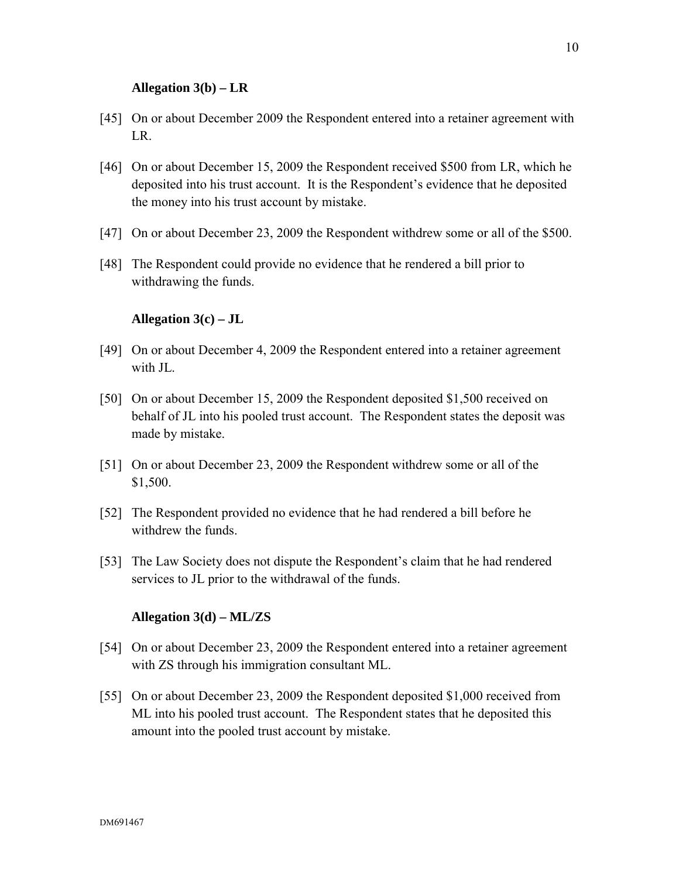### **Allegation 3(b) – LR**

- [45] On or about December 2009 the Respondent entered into a retainer agreement with LR.
- [46] On or about December 15, 2009 the Respondent received \$500 from LR, which he deposited into his trust account. It is the Respondent's evidence that he deposited the money into his trust account by mistake.
- [47] On or about December 23, 2009 the Respondent withdrew some or all of the \$500.
- [48] The Respondent could provide no evidence that he rendered a bill prior to withdrawing the funds.

## **Allegation 3(c) – JL**

- [49] On or about December 4, 2009 the Respondent entered into a retainer agreement with JL.
- [50] On or about December 15, 2009 the Respondent deposited \$1,500 received on behalf of JL into his pooled trust account. The Respondent states the deposit was made by mistake.
- [51] On or about December 23, 2009 the Respondent withdrew some or all of the \$1,500.
- [52] The Respondent provided no evidence that he had rendered a bill before he withdrew the funds.
- [53] The Law Society does not dispute the Respondent's claim that he had rendered services to JL prior to the withdrawal of the funds.

## **Allegation 3(d) – ML/ZS**

- [54] On or about December 23, 2009 the Respondent entered into a retainer agreement with ZS through his immigration consultant ML.
- [55] On or about December 23, 2009 the Respondent deposited \$1,000 received from ML into his pooled trust account. The Respondent states that he deposited this amount into the pooled trust account by mistake.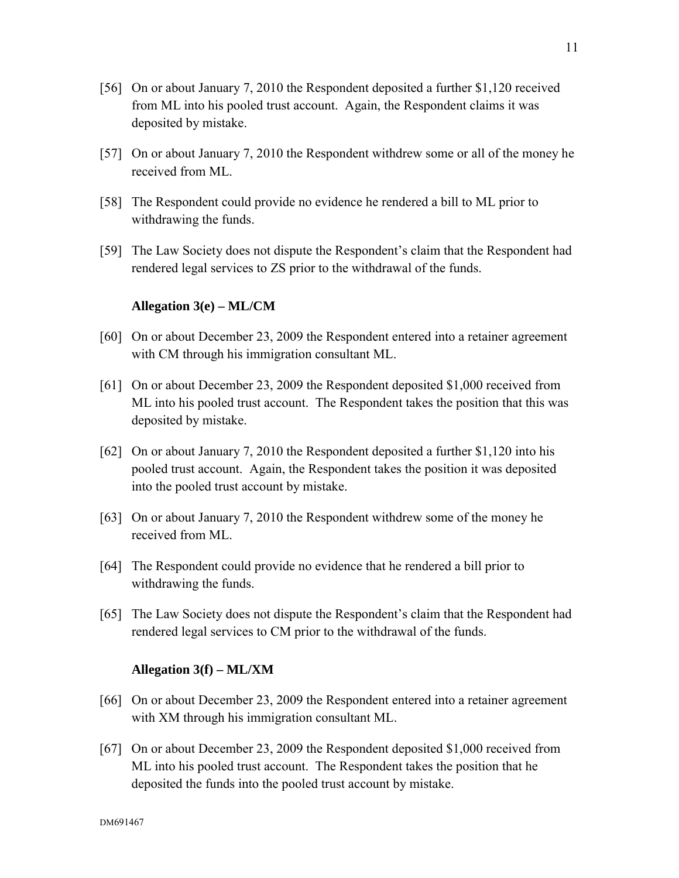- [56] On or about January 7, 2010 the Respondent deposited a further \$1,120 received from ML into his pooled trust account. Again, the Respondent claims it was deposited by mistake.
- [57] On or about January 7, 2010 the Respondent withdrew some or all of the money he received from ML.
- [58] The Respondent could provide no evidence he rendered a bill to ML prior to withdrawing the funds.
- [59] The Law Society does not dispute the Respondent's claim that the Respondent had rendered legal services to ZS prior to the withdrawal of the funds.

### **Allegation 3(e) – ML/CM**

- [60] On or about December 23, 2009 the Respondent entered into a retainer agreement with CM through his immigration consultant ML.
- [61] On or about December 23, 2009 the Respondent deposited \$1,000 received from ML into his pooled trust account. The Respondent takes the position that this was deposited by mistake.
- [62] On or about January 7, 2010 the Respondent deposited a further \$1,120 into his pooled trust account. Again, the Respondent takes the position it was deposited into the pooled trust account by mistake.
- [63] On or about January 7, 2010 the Respondent withdrew some of the money he received from ML.
- [64] The Respondent could provide no evidence that he rendered a bill prior to withdrawing the funds.
- [65] The Law Society does not dispute the Respondent's claim that the Respondent had rendered legal services to CM prior to the withdrawal of the funds.

#### **Allegation 3(f) – ML/XM**

- [66] On or about December 23, 2009 the Respondent entered into a retainer agreement with XM through his immigration consultant ML.
- [67] On or about December 23, 2009 the Respondent deposited \$1,000 received from ML into his pooled trust account. The Respondent takes the position that he deposited the funds into the pooled trust account by mistake.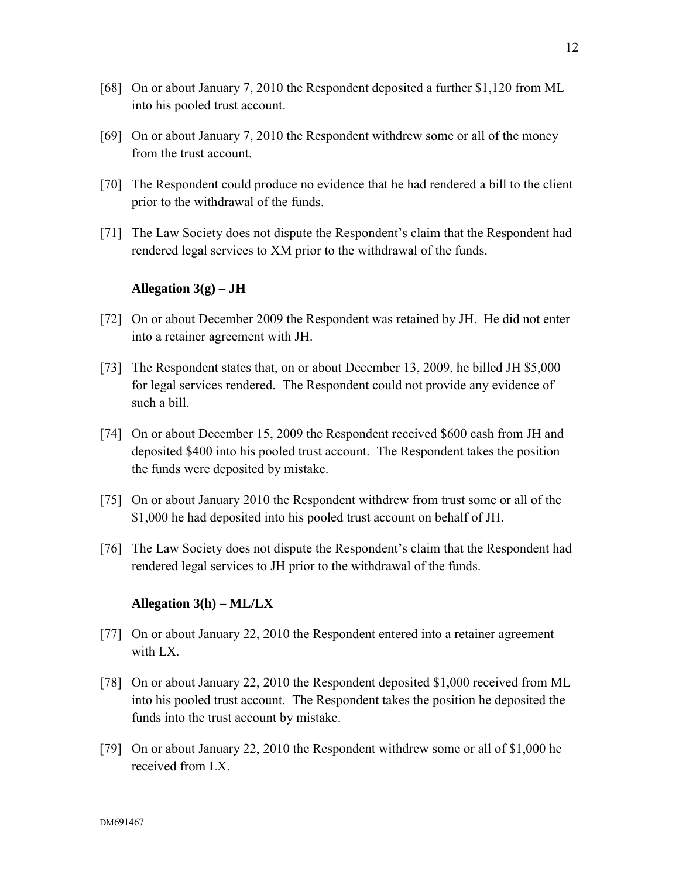- [68] On or about January 7, 2010 the Respondent deposited a further \$1,120 from ML into his pooled trust account.
- [69] On or about January 7, 2010 the Respondent withdrew some or all of the money from the trust account.
- [70] The Respondent could produce no evidence that he had rendered a bill to the client prior to the withdrawal of the funds.
- [71] The Law Society does not dispute the Respondent's claim that the Respondent had rendered legal services to XM prior to the withdrawal of the funds.

#### **Allegation 3(g) – JH**

- [72] On or about December 2009 the Respondent was retained by JH. He did not enter into a retainer agreement with JH.
- [73] The Respondent states that, on or about December 13, 2009, he billed JH \$5,000 for legal services rendered. The Respondent could not provide any evidence of such a bill.
- [74] On or about December 15, 2009 the Respondent received \$600 cash from JH and deposited \$400 into his pooled trust account. The Respondent takes the position the funds were deposited by mistake.
- [75] On or about January 2010 the Respondent withdrew from trust some or all of the \$1,000 he had deposited into his pooled trust account on behalf of JH.
- [76] The Law Society does not dispute the Respondent's claim that the Respondent had rendered legal services to JH prior to the withdrawal of the funds.

### **Allegation 3(h) – ML/LX**

- [77] On or about January 22, 2010 the Respondent entered into a retainer agreement with LX.
- [78] On or about January 22, 2010 the Respondent deposited \$1,000 received from ML into his pooled trust account. The Respondent takes the position he deposited the funds into the trust account by mistake.
- [79] On or about January 22, 2010 the Respondent withdrew some or all of \$1,000 he received from LX.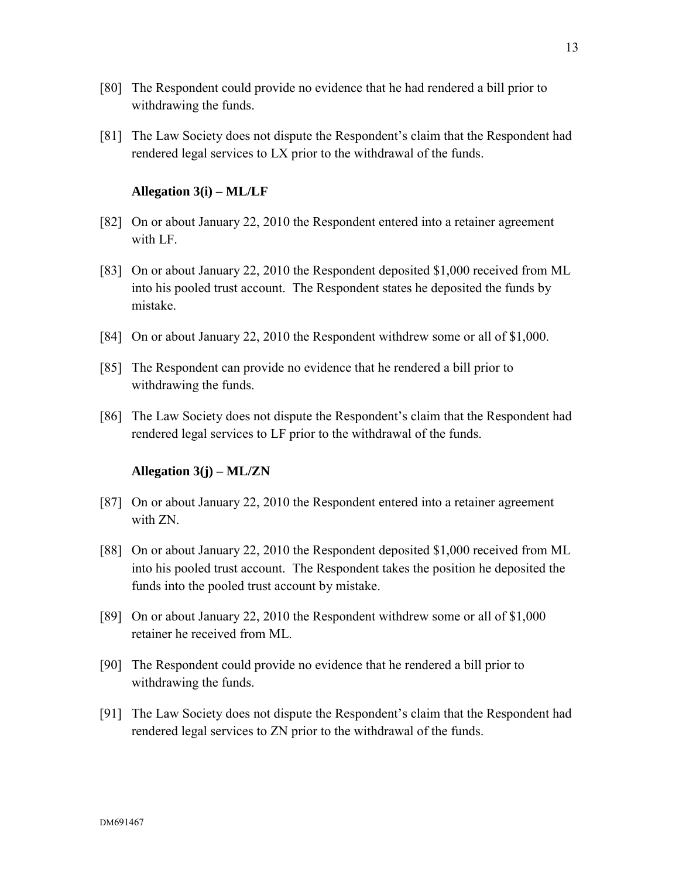- [80] The Respondent could provide no evidence that he had rendered a bill prior to withdrawing the funds.
- [81] The Law Society does not dispute the Respondent's claim that the Respondent had rendered legal services to LX prior to the withdrawal of the funds.

## **Allegation 3(i) – ML/LF**

- [82] On or about January 22, 2010 the Respondent entered into a retainer agreement with LF.
- [83] On or about January 22, 2010 the Respondent deposited \$1,000 received from ML into his pooled trust account. The Respondent states he deposited the funds by mistake.
- [84] On or about January 22, 2010 the Respondent withdrew some or all of \$1,000.
- [85] The Respondent can provide no evidence that he rendered a bill prior to withdrawing the funds.
- [86] The Law Society does not dispute the Respondent's claim that the Respondent had rendered legal services to LF prior to the withdrawal of the funds.

#### **Allegation 3(j) – ML/ZN**

- [87] On or about January 22, 2010 the Respondent entered into a retainer agreement with ZN.
- [88] On or about January 22, 2010 the Respondent deposited \$1,000 received from ML into his pooled trust account. The Respondent takes the position he deposited the funds into the pooled trust account by mistake.
- [89] On or about January 22, 2010 the Respondent withdrew some or all of \$1,000 retainer he received from ML.
- [90] The Respondent could provide no evidence that he rendered a bill prior to withdrawing the funds.
- [91] The Law Society does not dispute the Respondent's claim that the Respondent had rendered legal services to ZN prior to the withdrawal of the funds.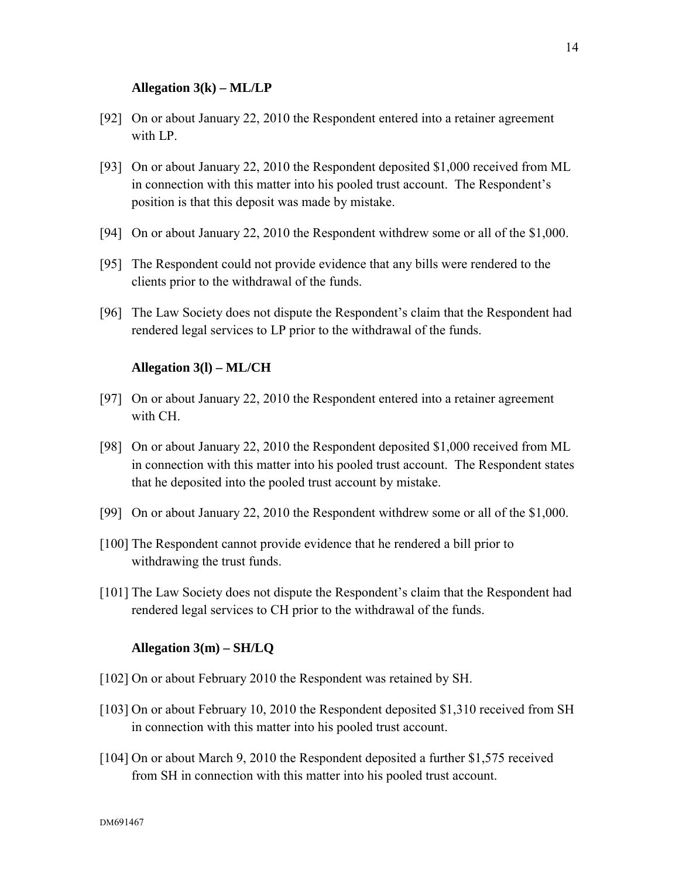#### **Allegation 3(k) – ML/LP**

- [92] On or about January 22, 2010 the Respondent entered into a retainer agreement with LP.
- [93] On or about January 22, 2010 the Respondent deposited \$1,000 received from ML in connection with this matter into his pooled trust account. The Respondent's position is that this deposit was made by mistake.
- [94] On or about January 22, 2010 the Respondent withdrew some or all of the \$1,000.
- [95] The Respondent could not provide evidence that any bills were rendered to the clients prior to the withdrawal of the funds.
- [96] The Law Society does not dispute the Respondent's claim that the Respondent had rendered legal services to LP prior to the withdrawal of the funds.

#### **Allegation 3(l) – ML/CH**

- [97] On or about January 22, 2010 the Respondent entered into a retainer agreement with CH.
- [98] On or about January 22, 2010 the Respondent deposited \$1,000 received from ML in connection with this matter into his pooled trust account. The Respondent states that he deposited into the pooled trust account by mistake.
- [99] On or about January 22, 2010 the Respondent withdrew some or all of the \$1,000.
- [100] The Respondent cannot provide evidence that he rendered a bill prior to withdrawing the trust funds.
- [101] The Law Society does not dispute the Respondent's claim that the Respondent had rendered legal services to CH prior to the withdrawal of the funds.

#### **Allegation 3(m) – SH/LQ**

- [102] On or about February 2010 the Respondent was retained by SH.
- [103] On or about February 10, 2010 the Respondent deposited \$1,310 received from SH in connection with this matter into his pooled trust account.
- [104] On or about March 9, 2010 the Respondent deposited a further \$1,575 received from SH in connection with this matter into his pooled trust account.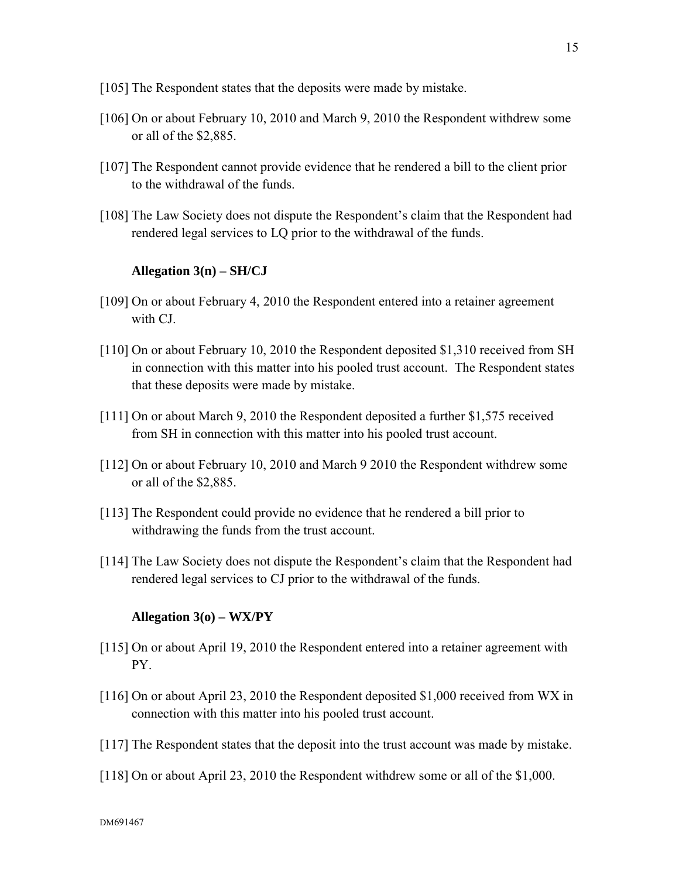- [105] The Respondent states that the deposits were made by mistake.
- [106] On or about February 10, 2010 and March 9, 2010 the Respondent withdrew some or all of the \$2,885.
- [107] The Respondent cannot provide evidence that he rendered a bill to the client prior to the withdrawal of the funds.
- [108] The Law Society does not dispute the Respondent's claim that the Respondent had rendered legal services to LQ prior to the withdrawal of the funds.

## **Allegation 3(n) – SH/CJ**

- [109] On or about February 4, 2010 the Respondent entered into a retainer agreement with CJ.
- [110] On or about February 10, 2010 the Respondent deposited \$1,310 received from SH in connection with this matter into his pooled trust account. The Respondent states that these deposits were made by mistake.
- [111] On or about March 9, 2010 the Respondent deposited a further \$1,575 received from SH in connection with this matter into his pooled trust account.
- [112] On or about February 10, 2010 and March 9 2010 the Respondent withdrew some or all of the \$2,885.
- [113] The Respondent could provide no evidence that he rendered a bill prior to withdrawing the funds from the trust account.
- [114] The Law Society does not dispute the Respondent's claim that the Respondent had rendered legal services to CJ prior to the withdrawal of the funds.

## **Allegation 3(o) – WX/PY**

- [115] On or about April 19, 2010 the Respondent entered into a retainer agreement with PY.
- [116] On or about April 23, 2010 the Respondent deposited \$1,000 received from WX in connection with this matter into his pooled trust account.
- [117] The Respondent states that the deposit into the trust account was made by mistake.
- [118] On or about April 23, 2010 the Respondent withdrew some or all of the \$1,000.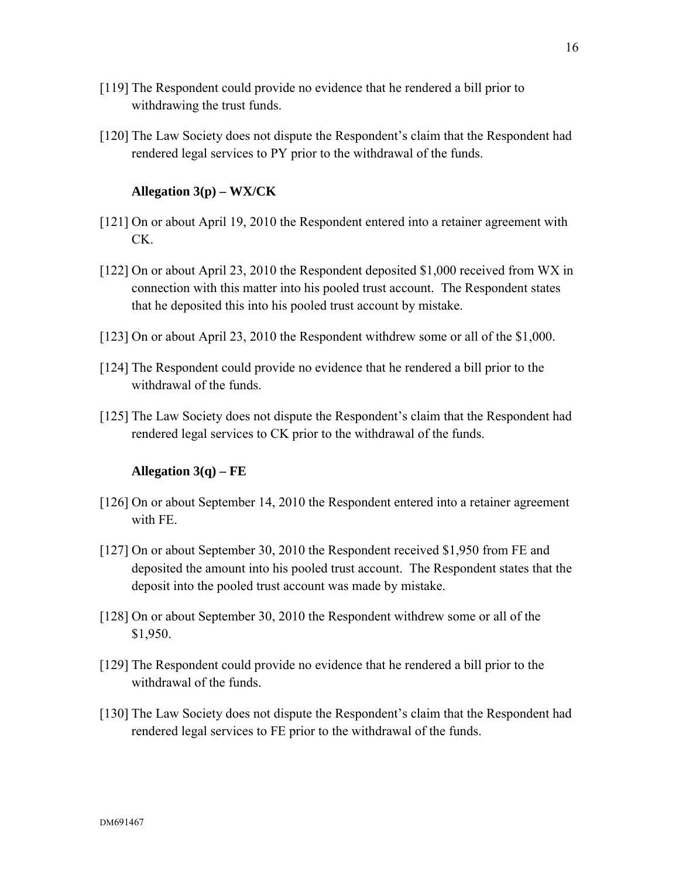- [119] The Respondent could provide no evidence that he rendered a bill prior to withdrawing the trust funds.
- [120] The Law Society does not dispute the Respondent's claim that the Respondent had rendered legal services to PY prior to the withdrawal of the funds.

### **Allegation 3(p) – WX/CK**

- [121] On or about April 19, 2010 the Respondent entered into a retainer agreement with CK.
- [122] On or about April 23, 2010 the Respondent deposited \$1,000 received from WX in connection with this matter into his pooled trust account. The Respondent states that he deposited this into his pooled trust account by mistake.
- [123] On or about April 23, 2010 the Respondent withdrew some or all of the \$1,000.
- [124] The Respondent could provide no evidence that he rendered a bill prior to the withdrawal of the funds.
- [125] The Law Society does not dispute the Respondent's claim that the Respondent had rendered legal services to CK prior to the withdrawal of the funds.

#### **Allegation 3(q) – FE**

- [126] On or about September 14, 2010 the Respondent entered into a retainer agreement with FE.
- [127] On or about September 30, 2010 the Respondent received \$1,950 from FE and deposited the amount into his pooled trust account. The Respondent states that the deposit into the pooled trust account was made by mistake.
- [128] On or about September 30, 2010 the Respondent withdrew some or all of the \$1,950.
- [129] The Respondent could provide no evidence that he rendered a bill prior to the withdrawal of the funds.
- [130] The Law Society does not dispute the Respondent's claim that the Respondent had rendered legal services to FE prior to the withdrawal of the funds.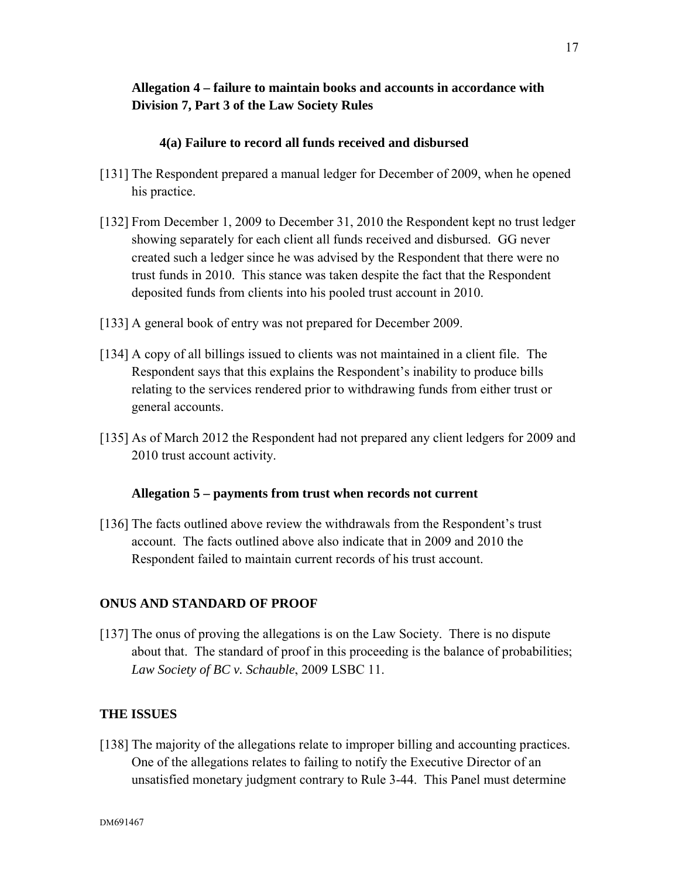# **Allegation 4 – failure to maintain books and accounts in accordance with Division 7, Part 3 of the Law Society Rules**

## **4(a) Failure to record all funds received and disbursed**

- [131] The Respondent prepared a manual ledger for December of 2009, when he opened his practice.
- [132] From December 1, 2009 to December 31, 2010 the Respondent kept no trust ledger showing separately for each client all funds received and disbursed. GG never created such a ledger since he was advised by the Respondent that there were no trust funds in 2010. This stance was taken despite the fact that the Respondent deposited funds from clients into his pooled trust account in 2010.
- [133] A general book of entry was not prepared for December 2009.
- [134] A copy of all billings issued to clients was not maintained in a client file. The Respondent says that this explains the Respondent's inability to produce bills relating to the services rendered prior to withdrawing funds from either trust or general accounts.
- [135] As of March 2012 the Respondent had not prepared any client ledgers for 2009 and 2010 trust account activity.

## **Allegation 5 – payments from trust when records not current**

[136] The facts outlined above review the withdrawals from the Respondent's trust account. The facts outlined above also indicate that in 2009 and 2010 the Respondent failed to maintain current records of his trust account.

## **ONUS AND STANDARD OF PROOF**

[137] The onus of proving the allegations is on the Law Society. There is no dispute about that. The standard of proof in this proceeding is the balance of probabilities; *Law Society of BC v. Schauble*, 2009 LSBC 11.

## **THE ISSUES**

[138] The majority of the allegations relate to improper billing and accounting practices. One of the allegations relates to failing to notify the Executive Director of an unsatisfied monetary judgment contrary to Rule 3-44. This Panel must determine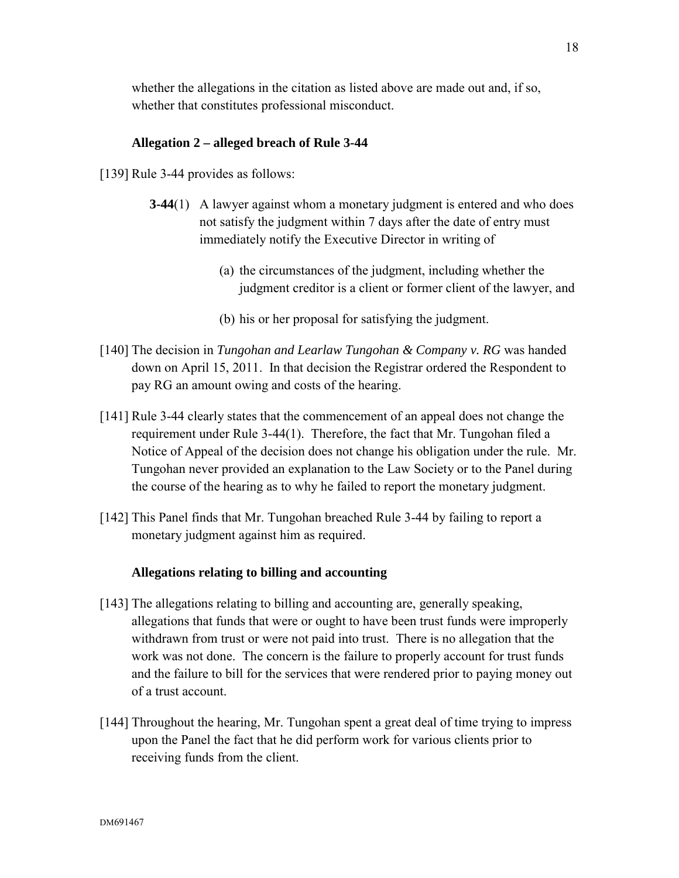whether the allegations in the citation as listed above are made out and, if so, whether that constitutes professional misconduct.

## **Allegation 2 – alleged breach of Rule 3-44**

[139] Rule 3-44 provides as follows:

- **3-44**(1) A lawyer against whom a monetary judgment is entered and who does not satisfy the judgment within 7 days after the date of entry must immediately notify the Executive Director in writing of
	- (a) the circumstances of the judgment, including whether the judgment creditor is a client or former client of the lawyer, and
	- (b) his or her proposal for satisfying the judgment.
- [140] The decision in *Tungohan and Learlaw Tungohan & Company v. RG* was handed down on April 15, 2011. In that decision the Registrar ordered the Respondent to pay RG an amount owing and costs of the hearing.
- [141] Rule 3-44 clearly states that the commencement of an appeal does not change the requirement under Rule 3-44(1). Therefore, the fact that Mr. Tungohan filed a Notice of Appeal of the decision does not change his obligation under the rule. Mr. Tungohan never provided an explanation to the Law Society or to the Panel during the course of the hearing as to why he failed to report the monetary judgment.
- [142] This Panel finds that Mr. Tungohan breached Rule 3-44 by failing to report a monetary judgment against him as required.

#### **Allegations relating to billing and accounting**

- [143] The allegations relating to billing and accounting are, generally speaking, allegations that funds that were or ought to have been trust funds were improperly withdrawn from trust or were not paid into trust. There is no allegation that the work was not done. The concern is the failure to properly account for trust funds and the failure to bill for the services that were rendered prior to paying money out of a trust account.
- [144] Throughout the hearing, Mr. Tungohan spent a great deal of time trying to impress upon the Panel the fact that he did perform work for various clients prior to receiving funds from the client.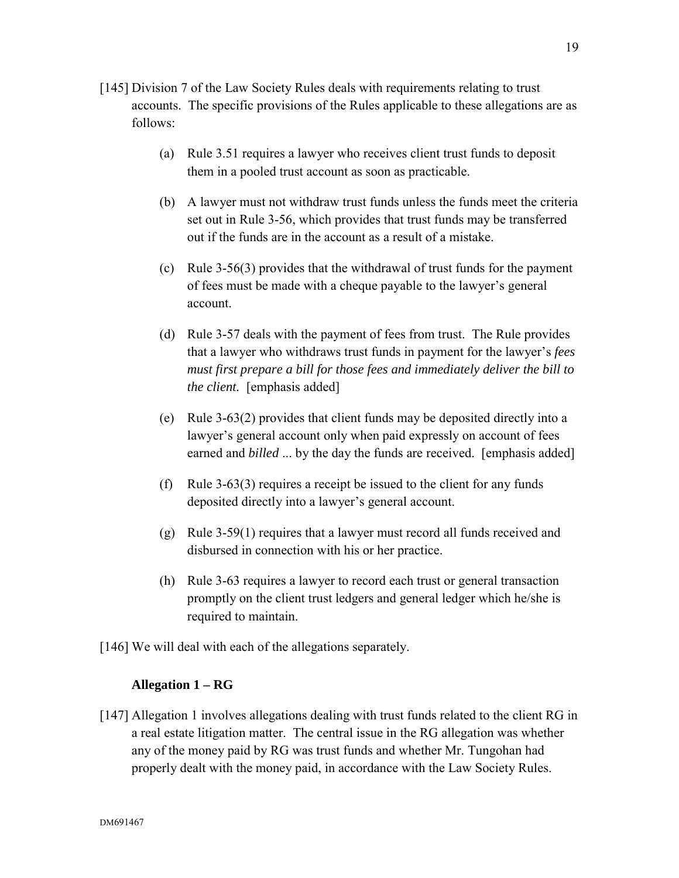- [145] Division 7 of the Law Society Rules deals with requirements relating to trust accounts. The specific provisions of the Rules applicable to these allegations are as follows:
	- (a) Rule 3.51 requires a lawyer who receives client trust funds to deposit them in a pooled trust account as soon as practicable.
	- (b) A lawyer must not withdraw trust funds unless the funds meet the criteria set out in Rule 3-56, which provides that trust funds may be transferred out if the funds are in the account as a result of a mistake.
	- (c) Rule 3-56(3) provides that the withdrawal of trust funds for the payment of fees must be made with a cheque payable to the lawyer's general account.
	- (d) Rule 3-57 deals with the payment of fees from trust. The Rule provides that a lawyer who withdraws trust funds in payment for the lawyer's *fees must first prepare a bill for those fees and immediately deliver the bill to the client.* [emphasis added]
	- (e) Rule 3-63(2) provides that client funds may be deposited directly into a lawyer's general account only when paid expressly on account of fees earned and *billed* ... by the day the funds are received. [emphasis added]
	- (f) Rule 3-63(3) requires a receipt be issued to the client for any funds deposited directly into a lawyer's general account.
	- (g) Rule 3-59(1) requires that a lawyer must record all funds received and disbursed in connection with his or her practice.
	- (h) Rule 3-63 requires a lawyer to record each trust or general transaction promptly on the client trust ledgers and general ledger which he/she is required to maintain.
- [146] We will deal with each of the allegations separately.

## **Allegation 1 – RG**

[147] Allegation 1 involves allegations dealing with trust funds related to the client RG in a real estate litigation matter. The central issue in the RG allegation was whether any of the money paid by RG was trust funds and whether Mr. Tungohan had properly dealt with the money paid, in accordance with the Law Society Rules.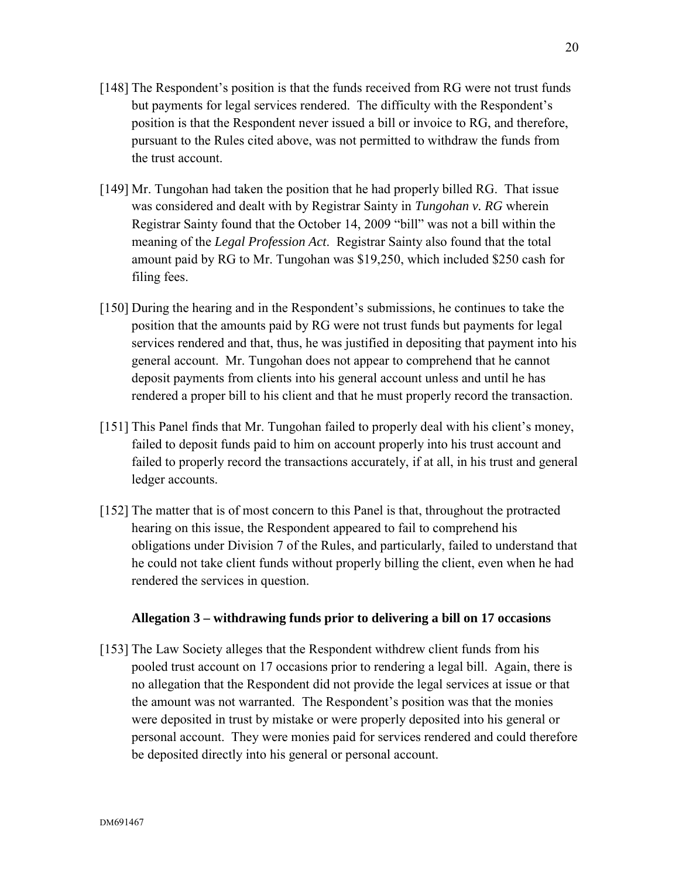- [148] The Respondent's position is that the funds received from RG were not trust funds but payments for legal services rendered. The difficulty with the Respondent's position is that the Respondent never issued a bill or invoice to RG, and therefore, pursuant to the Rules cited above, was not permitted to withdraw the funds from the trust account.
- [149] Mr. Tungohan had taken the position that he had properly billed RG. That issue was considered and dealt with by Registrar Sainty in *Tungohan v. RG* wherein Registrar Sainty found that the October 14, 2009 "bill" was not a bill within the meaning of the *Legal Profession Act*. Registrar Sainty also found that the total amount paid by RG to Mr. Tungohan was \$19,250, which included \$250 cash for filing fees.
- [150] During the hearing and in the Respondent's submissions, he continues to take the position that the amounts paid by RG were not trust funds but payments for legal services rendered and that, thus, he was justified in depositing that payment into his general account. Mr. Tungohan does not appear to comprehend that he cannot deposit payments from clients into his general account unless and until he has rendered a proper bill to his client and that he must properly record the transaction.
- [151] This Panel finds that Mr. Tungohan failed to properly deal with his client's money, failed to deposit funds paid to him on account properly into his trust account and failed to properly record the transactions accurately, if at all, in his trust and general ledger accounts.
- [152] The matter that is of most concern to this Panel is that, throughout the protracted hearing on this issue, the Respondent appeared to fail to comprehend his obligations under Division 7 of the Rules, and particularly, failed to understand that he could not take client funds without properly billing the client, even when he had rendered the services in question.

## **Allegation 3 – withdrawing funds prior to delivering a bill on 17 occasions**

[153] The Law Society alleges that the Respondent withdrew client funds from his pooled trust account on 17 occasions prior to rendering a legal bill. Again, there is no allegation that the Respondent did not provide the legal services at issue or that the amount was not warranted. The Respondent's position was that the monies were deposited in trust by mistake or were properly deposited into his general or personal account. They were monies paid for services rendered and could therefore be deposited directly into his general or personal account.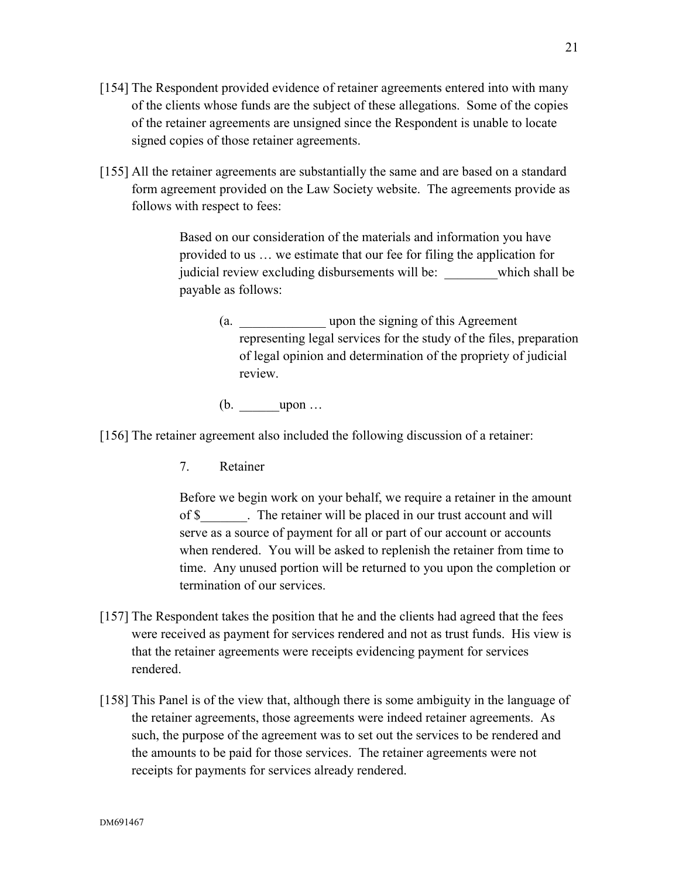- [154] The Respondent provided evidence of retainer agreements entered into with many of the clients whose funds are the subject of these allegations. Some of the copies of the retainer agreements are unsigned since the Respondent is unable to locate signed copies of those retainer agreements.
- [155] All the retainer agreements are substantially the same and are based on a standard form agreement provided on the Law Society website. The agreements provide as follows with respect to fees:

Based on our consideration of the materials and information you have provided to us … we estimate that our fee for filing the application for judicial review excluding disbursements will be: which shall be payable as follows:

(a. \_\_\_\_\_\_\_\_\_\_\_\_\_ upon the signing of this Agreement representing legal services for the study of the files, preparation of legal opinion and determination of the propriety of judicial review.

 $(b.$   $upon ...$ 

[156] The retainer agreement also included the following discussion of a retainer:

7. Retainer

Before we begin work on your behalf, we require a retainer in the amount of \$ The retainer will be placed in our trust account and will serve as a source of payment for all or part of our account or accounts when rendered. You will be asked to replenish the retainer from time to time. Any unused portion will be returned to you upon the completion or termination of our services.

- [157] The Respondent takes the position that he and the clients had agreed that the fees were received as payment for services rendered and not as trust funds. His view is that the retainer agreements were receipts evidencing payment for services rendered.
- [158] This Panel is of the view that, although there is some ambiguity in the language of the retainer agreements, those agreements were indeed retainer agreements. As such, the purpose of the agreement was to set out the services to be rendered and the amounts to be paid for those services. The retainer agreements were not receipts for payments for services already rendered.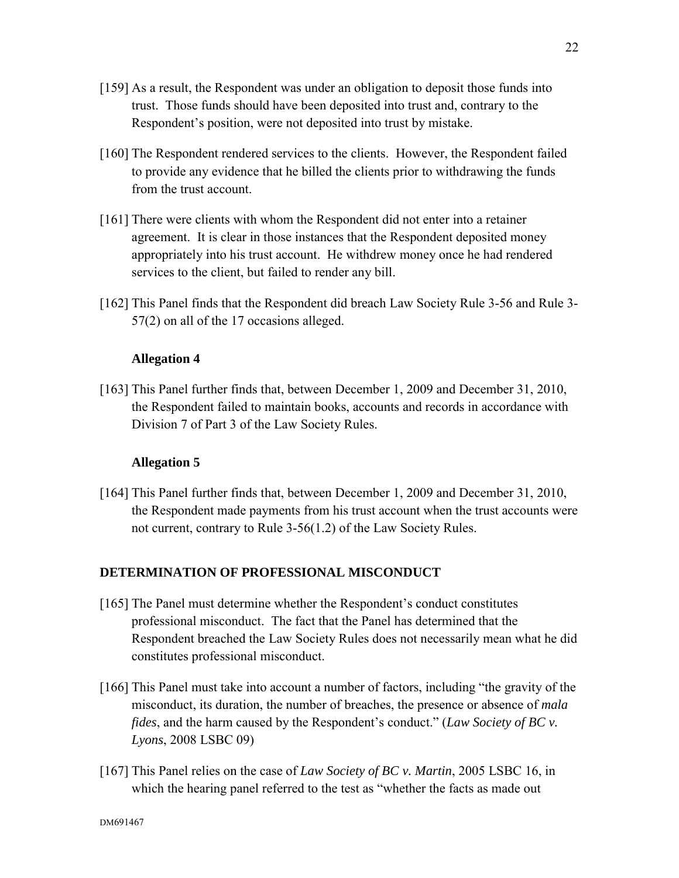- [159] As a result, the Respondent was under an obligation to deposit those funds into trust. Those funds should have been deposited into trust and, contrary to the Respondent's position, were not deposited into trust by mistake.
- [160] The Respondent rendered services to the clients. However, the Respondent failed to provide any evidence that he billed the clients prior to withdrawing the funds from the trust account.
- [161] There were clients with whom the Respondent did not enter into a retainer agreement. It is clear in those instances that the Respondent deposited money appropriately into his trust account. He withdrew money once he had rendered services to the client, but failed to render any bill.
- [162] This Panel finds that the Respondent did breach Law Society Rule 3-56 and Rule 3- 57(2) on all of the 17 occasions alleged.

## **Allegation 4**

[163] This Panel further finds that, between December 1, 2009 and December 31, 2010, the Respondent failed to maintain books, accounts and records in accordance with Division 7 of Part 3 of the Law Society Rules.

#### **Allegation 5**

[164] This Panel further finds that, between December 1, 2009 and December 31, 2010, the Respondent made payments from his trust account when the trust accounts were not current, contrary to Rule 3-56(1.2) of the Law Society Rules.

## **DETERMINATION OF PROFESSIONAL MISCONDUCT**

- [165] The Panel must determine whether the Respondent's conduct constitutes professional misconduct. The fact that the Panel has determined that the Respondent breached the Law Society Rules does not necessarily mean what he did constitutes professional misconduct.
- [166] This Panel must take into account a number of factors, including "the gravity of the misconduct, its duration, the number of breaches, the presence or absence of *mala fides*, and the harm caused by the Respondent's conduct." (*Law Society of BC v. Lyons*, 2008 LSBC 09)
- [167] This Panel relies on the case of *Law Society of BC v. Martin*, 2005 LSBC 16, in which the hearing panel referred to the test as "whether the facts as made out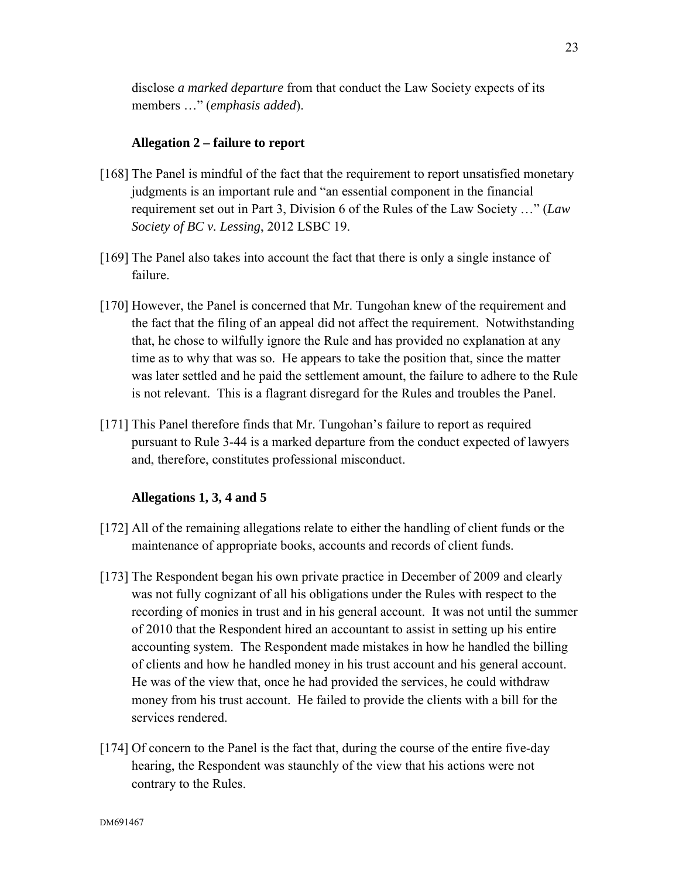disclose *a marked departure* from that conduct the Law Society expects of its members …" (*emphasis added*).

## **Allegation 2 – failure to report**

- [168] The Panel is mindful of the fact that the requirement to report unsatisfied monetary judgments is an important rule and "an essential component in the financial requirement set out in Part 3, Division 6 of the Rules of the Law Society …" (*Law Society of BC v. Lessing*, 2012 LSBC 19.
- [169] The Panel also takes into account the fact that there is only a single instance of failure.
- [170] However, the Panel is concerned that Mr. Tungohan knew of the requirement and the fact that the filing of an appeal did not affect the requirement. Notwithstanding that, he chose to wilfully ignore the Rule and has provided no explanation at any time as to why that was so. He appears to take the position that, since the matter was later settled and he paid the settlement amount, the failure to adhere to the Rule is not relevant. This is a flagrant disregard for the Rules and troubles the Panel.
- [171] This Panel therefore finds that Mr. Tungohan's failure to report as required pursuant to Rule 3-44 is a marked departure from the conduct expected of lawyers and, therefore, constitutes professional misconduct.

### **Allegations 1, 3, 4 and 5**

- [172] All of the remaining allegations relate to either the handling of client funds or the maintenance of appropriate books, accounts and records of client funds.
- [173] The Respondent began his own private practice in December of 2009 and clearly was not fully cognizant of all his obligations under the Rules with respect to the recording of monies in trust and in his general account. It was not until the summer of 2010 that the Respondent hired an accountant to assist in setting up his entire accounting system. The Respondent made mistakes in how he handled the billing of clients and how he handled money in his trust account and his general account. He was of the view that, once he had provided the services, he could withdraw money from his trust account. He failed to provide the clients with a bill for the services rendered.
- [174] Of concern to the Panel is the fact that, during the course of the entire five-day hearing, the Respondent was staunchly of the view that his actions were not contrary to the Rules.